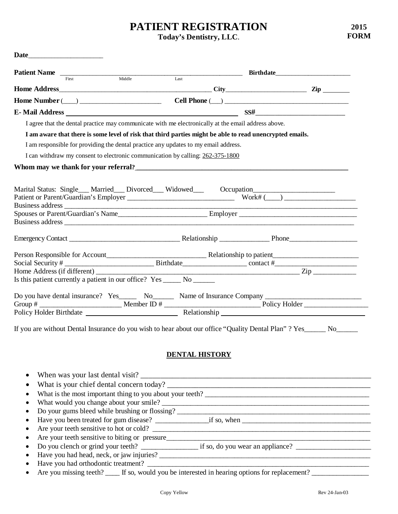# **PATIENT REGISTRATION**

**Today's Dentistry, LLC**.

|                                                                                     | <b>Patient Name</b> First Middle Last                                                                          |  |
|-------------------------------------------------------------------------------------|----------------------------------------------------------------------------------------------------------------|--|
|                                                                                     |                                                                                                                |  |
|                                                                                     |                                                                                                                |  |
|                                                                                     |                                                                                                                |  |
| E - Mail Address                                                                    |                                                                                                                |  |
|                                                                                     | I agree that the dental practice may communicate with me electronically at the email address above.            |  |
|                                                                                     | I am aware that there is some level of risk that third parties might be able to read unencrypted emails.       |  |
| I am responsible for providing the dental practice any updates to my email address. |                                                                                                                |  |
| I can withdraw my consent to electronic communication by calling: 262-375-1800      |                                                                                                                |  |
|                                                                                     |                                                                                                                |  |
|                                                                                     |                                                                                                                |  |
|                                                                                     |                                                                                                                |  |
|                                                                                     |                                                                                                                |  |
|                                                                                     |                                                                                                                |  |
|                                                                                     |                                                                                                                |  |
|                                                                                     |                                                                                                                |  |
| Is this patient currently a patient in our office? Yes ______ No ______             |                                                                                                                |  |
|                                                                                     |                                                                                                                |  |
|                                                                                     | Do you have dental insurance? Yes_______ No_________ Name of Insurance Company _______________________________ |  |

# **DENTAL HISTORY**

|           | • What is the most important thing to you about your teeth?                                                                                                                                                                                                                                                                                                                                       |
|-----------|---------------------------------------------------------------------------------------------------------------------------------------------------------------------------------------------------------------------------------------------------------------------------------------------------------------------------------------------------------------------------------------------------|
|           |                                                                                                                                                                                                                                                                                                                                                                                                   |
|           | • Do your gums bleed while brushing or flossing?                                                                                                                                                                                                                                                                                                                                                  |
|           |                                                                                                                                                                                                                                                                                                                                                                                                   |
|           | • Are your teeth sensitive to hot or cold?                                                                                                                                                                                                                                                                                                                                                        |
|           | • Are your teeth sensitive to biting or pressure                                                                                                                                                                                                                                                                                                                                                  |
|           | • Do you clench or grind your teeth? $\frac{1}{\sqrt{1-\frac{1}{\sqrt{1-\frac{1}{\sqrt{1-\frac{1}{\sqrt{1-\frac{1}{\sqrt{1-\frac{1}{\sqrt{1-\frac{1}{\sqrt{1-\frac{1}{\sqrt{1-\frac{1}{\sqrt{1-\frac{1}{\sqrt{1-\frac{1}{\sqrt{1-\frac{1}{\sqrt{1-\frac{1}{\sqrt{1-\frac{1}{\sqrt{1-\frac{1}{\sqrt{1-\frac{1}{\sqrt{1-\frac{1}{\sqrt{1-\frac{1}{\sqrt{1-\frac{1}{\sqrt{1-\frac{1}{\sqrt{1-\frac{$ |
| $\bullet$ |                                                                                                                                                                                                                                                                                                                                                                                                   |
| $\bullet$ |                                                                                                                                                                                                                                                                                                                                                                                                   |
|           | • Are you missing teeth? ____ If so, would you be interested in hearing options for replacement? _________                                                                                                                                                                                                                                                                                        |